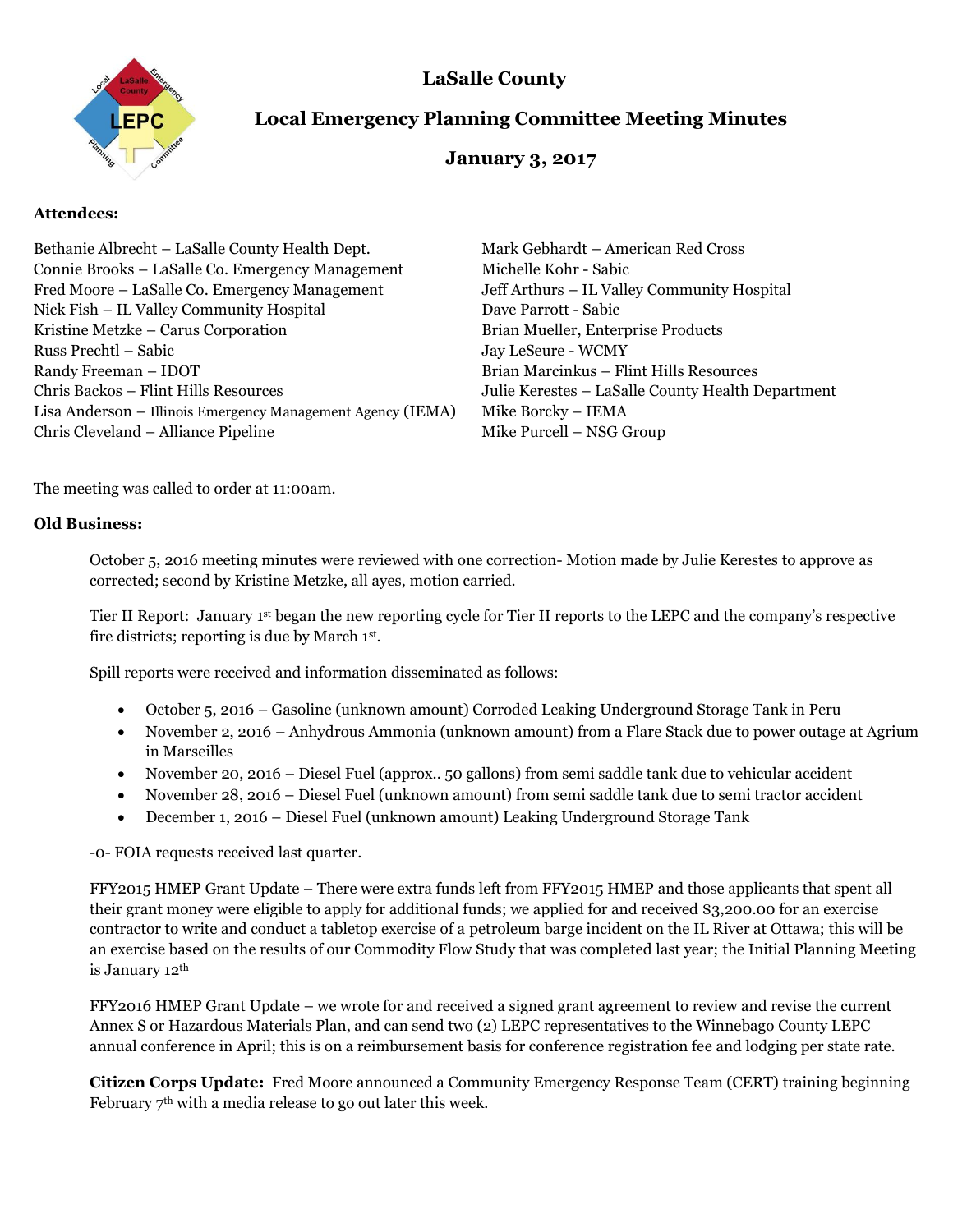**LaSalle County** 



# **Local Emergency Planning Committee Meeting Minutes**

## **January 3, 2017**

### **Attendees:**

| Bethanie Albrecht – LaSalle County Health Dept.             | Mark Gebhardt – American Red Cross                |
|-------------------------------------------------------------|---------------------------------------------------|
| Connie Brooks – LaSalle Co. Emergency Management            | Michelle Kohr - Sabic                             |
| Fred Moore – LaSalle Co. Emergency Management               | Jeff Arthurs – IL Valley Community Hospital       |
| Nick Fish – IL Valley Community Hospital                    | Dave Parrott - Sabic                              |
| Kristine Metzke - Carus Corporation                         | Brian Mueller, Enterprise Products                |
| Russ Prechtl – Sabic                                        | Jay LeSeure - WCMY                                |
| Randy Freeman - IDOT                                        | Brian Marcinkus - Flint Hills Resources           |
| Chris Backos - Flint Hills Resources                        | Julie Kerestes - LaSalle County Health Department |
| Lisa Anderson - Illinois Emergency Management Agency (IEMA) | Mike Borcky - IEMA                                |
| Chris Cleveland - Alliance Pipeline                         | Mike Purcell - NSG Group                          |

The meeting was called to order at 11:00am.

#### **Old Business:**

October 5, 2016 meeting minutes were reviewed with one correction- Motion made by Julie Kerestes to approve as corrected; second by Kristine Metzke, all ayes, motion carried.

Tier II Report: January 1st began the new reporting cycle for Tier II reports to the LEPC and the company's respective fire districts; reporting is due by March 1<sup>st</sup>.

Spill reports were received and information disseminated as follows:

- October 5, 2016 Gasoline (unknown amount) Corroded Leaking Underground Storage Tank in Peru
- November 2, 2016 Anhydrous Ammonia (unknown amount) from a Flare Stack due to power outage at Agrium in Marseilles
- November 20, 2016 Diesel Fuel (approx.. 50 gallons) from semi saddle tank due to vehicular accident
- November 28, 2016 Diesel Fuel (unknown amount) from semi saddle tank due to semi tractor accident
- December 1, 2016 Diesel Fuel (unknown amount) Leaking Underground Storage Tank

-0- FOIA requests received last quarter.

FFY2015 HMEP Grant Update – There were extra funds left from FFY2015 HMEP and those applicants that spent all their grant money were eligible to apply for additional funds; we applied for and received \$3,200.00 for an exercise contractor to write and conduct a tabletop exercise of a petroleum barge incident on the IL River at Ottawa; this will be an exercise based on the results of our Commodity Flow Study that was completed last year; the Initial Planning Meeting is January 12th

FFY2016 HMEP Grant Update – we wrote for and received a signed grant agreement to review and revise the current Annex S or Hazardous Materials Plan, and can send two (2) LEPC representatives to the Winnebago County LEPC annual conference in April; this is on a reimbursement basis for conference registration fee and lodging per state rate.

**Citizen Corps Update:** Fred Moore announced a Community Emergency Response Team (CERT) training beginning February  $7<sup>th</sup>$  with a media release to go out later this week.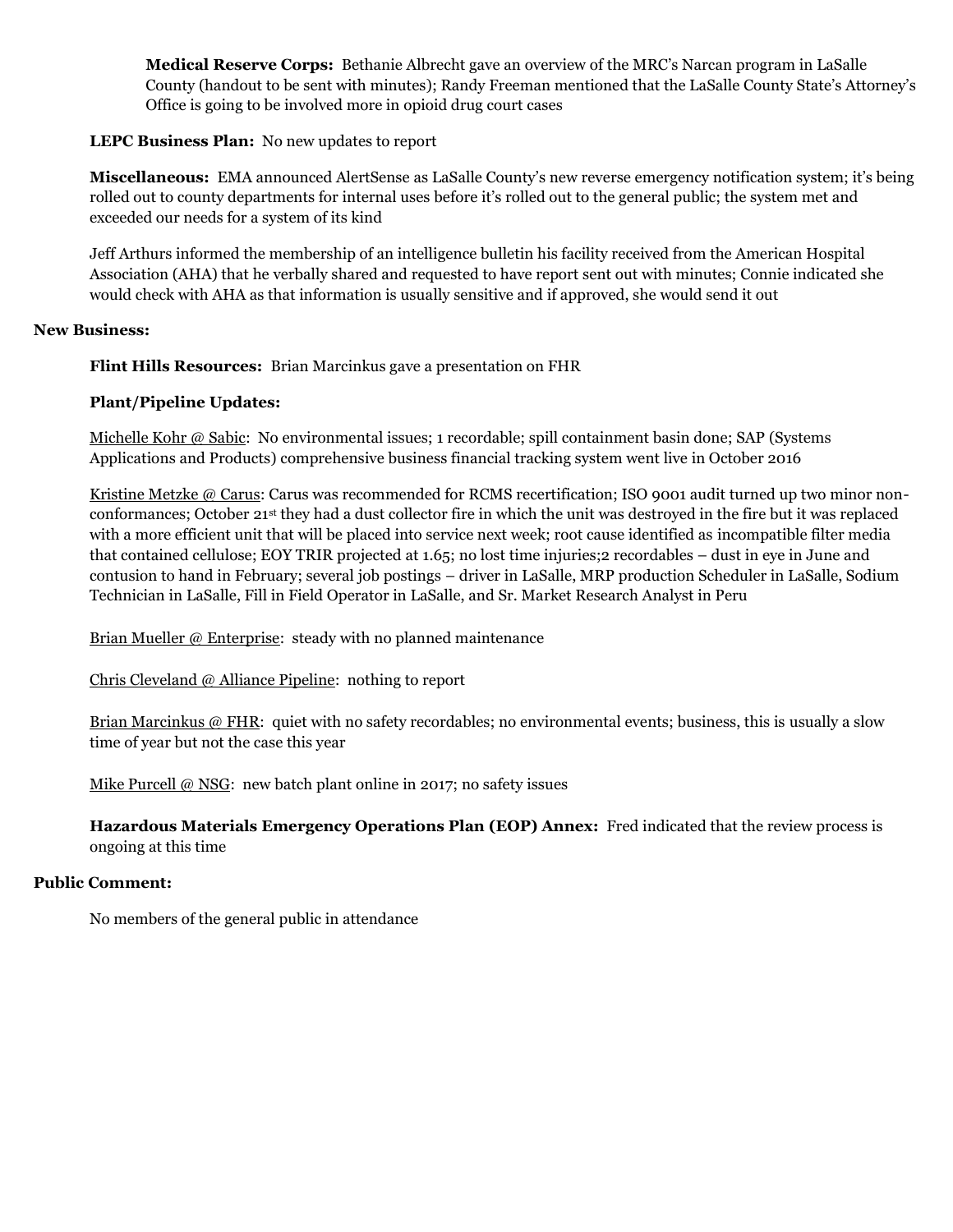**Medical Reserve Corps:** Bethanie Albrecht gave an overview of the MRC's Narcan program in LaSalle County (handout to be sent with minutes); Randy Freeman mentioned that the LaSalle County State's Attorney's Office is going to be involved more in opioid drug court cases

#### **LEPC Business Plan:** No new updates to report

**Miscellaneous:** EMA announced AlertSense as LaSalle County's new reverse emergency notification system; it's being rolled out to county departments for internal uses before it's rolled out to the general public; the system met and exceeded our needs for a system of its kind

Jeff Arthurs informed the membership of an intelligence bulletin his facility received from the American Hospital Association (AHA) that he verbally shared and requested to have report sent out with minutes; Connie indicated she would check with AHA as that information is usually sensitive and if approved, she would send it out

#### **New Business:**

**Flint Hills Resources:** Brian Marcinkus gave a presentation on FHR

### **Plant/Pipeline Updates:**

Michelle Kohr @ Sabic: No environmental issues; 1 recordable; spill containment basin done; SAP (Systems Applications and Products) comprehensive business financial tracking system went live in October 2016

Kristine Metzke @ Carus: Carus was recommended for RCMS recertification; ISO 9001 audit turned up two minor nonconformances; October 21st they had a dust collector fire in which the unit was destroyed in the fire but it was replaced with a more efficient unit that will be placed into service next week; root cause identified as incompatible filter media that contained cellulose; EOY TRIR projected at 1.65; no lost time injuries;2 recordables – dust in eye in June and contusion to hand in February; several job postings – driver in LaSalle, MRP production Scheduler in LaSalle, Sodium Technician in LaSalle, Fill in Field Operator in LaSalle, and Sr. Market Research Analyst in Peru

Brian Mueller @ Enterprise: steady with no planned maintenance

Chris Cleveland @ Alliance Pipeline: nothing to report

Brian Marcinkus @ FHR: quiet with no safety recordables; no environmental events; business, this is usually a slow time of year but not the case this year

Mike Purcell @ NSG: new batch plant online in 2017; no safety issues

**Hazardous Materials Emergency Operations Plan (EOP) Annex:** Fred indicated that the review process is ongoing at this time

#### **Public Comment:**

No members of the general public in attendance